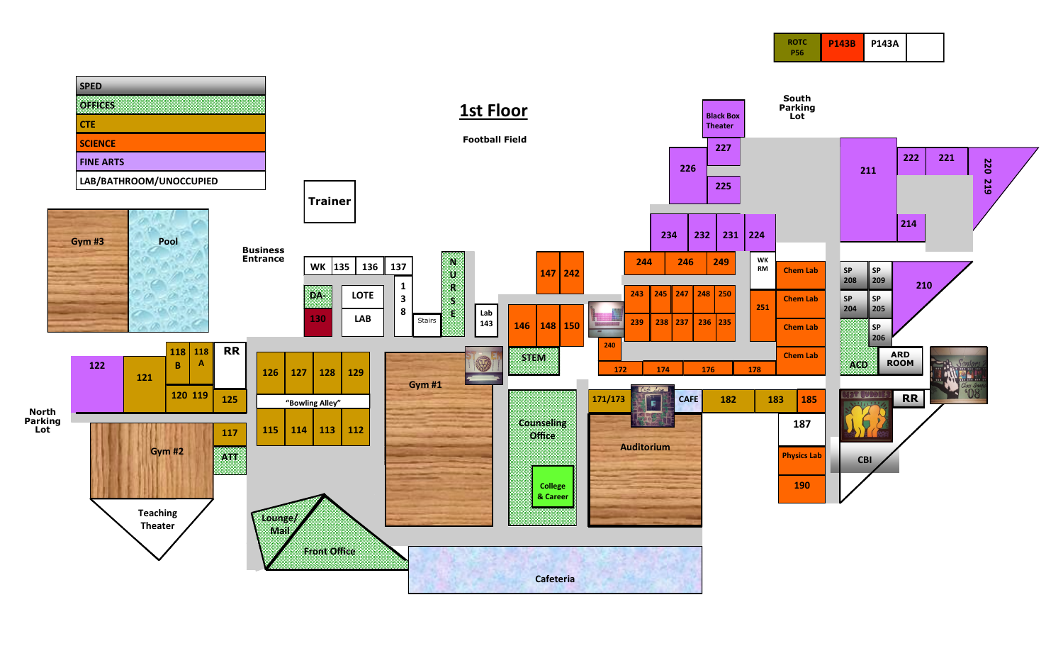